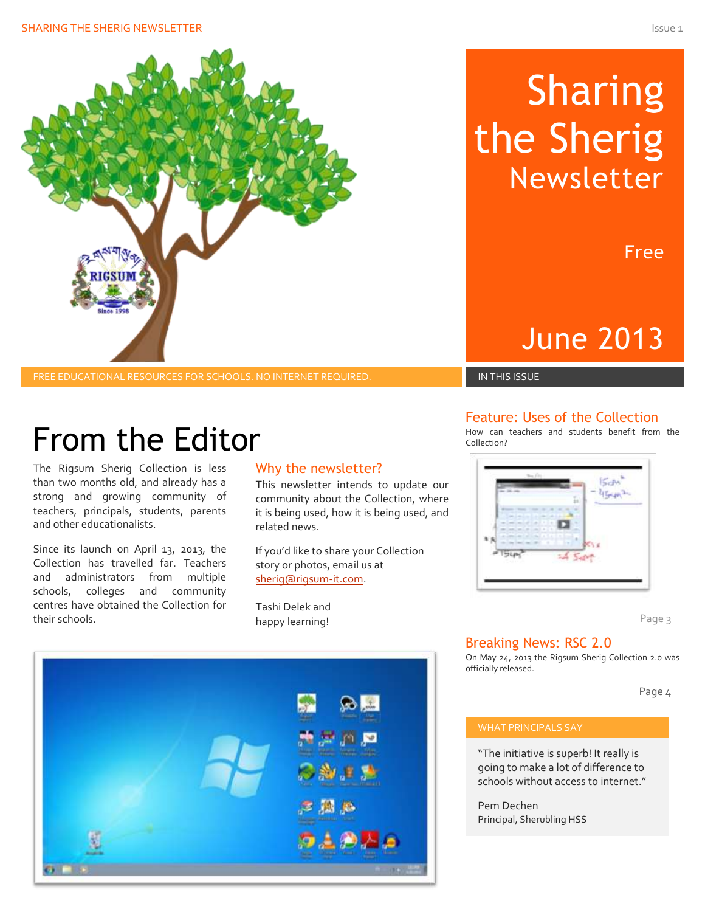

#### FREE EDUCATIONAL RESOURCES FOR SCHOOLS. NO INTERNET REQUIRED. IN THIS ISSUE IN THIS ISSUE

## From the Editor

The Rigsum Sherig Collection is less than two months old, and already has a strong and growing community of teachers, principals, students, parents and other educationalists.

Since its launch on April 13, 2013, the Collection has travelled far. Teachers and administrators from multiple schools, colleges and community centres have obtained the Collection for their schools.

#### Why the newsletter?

This newsletter intends to update our community about the Collection, where it is being used, how it is being used, and related news.

If you'd like to share your Collection story or photos, email us at [sherig@rigsum-it.com.](file:///C:/Users/shmueli/AppData/Roaming/Microsoft/Word/sherig@rigsum-it.com)

Tashi Delek and happy learning!



# Sharing the Sherig Newsletter

Free

### June 2013

#### Feature: Uses of the Collection

How can teachers and students benefit from the Collection?



Page 3

#### Breaking News: RSC 2.0

On May 24, 2013 the Rigsum Sherig Collection 2.0 was officially released.

Page 4

#### WHAT PRINCIPALS SAY

"The initiative is superb! It really is going to make a lot of difference to schools without access to internet."

Pem Dechen Principal, Sherubling HSS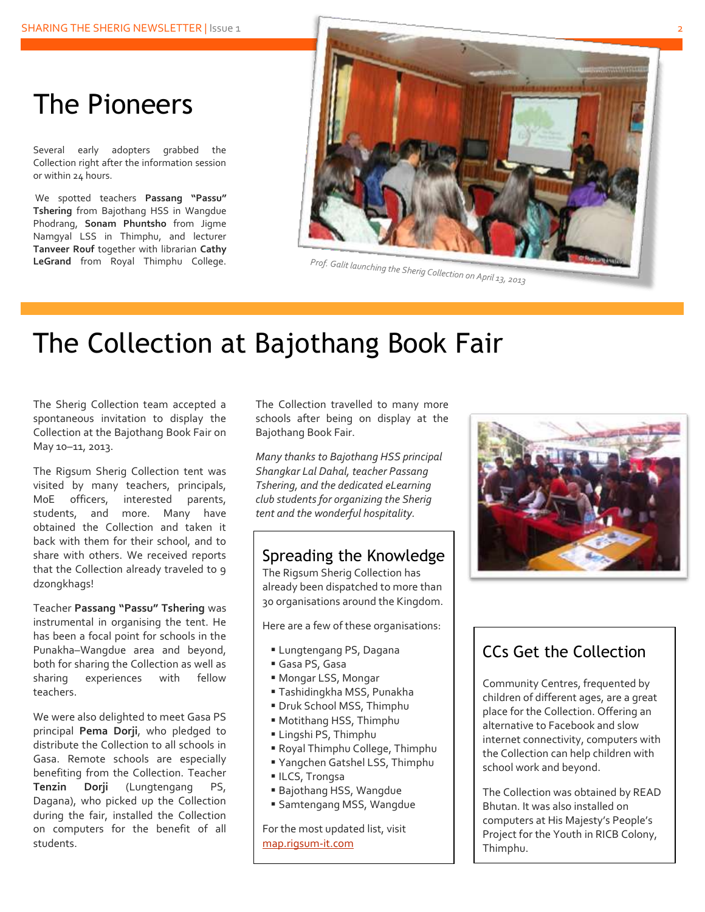### The Pioneers

Several early adopters grabbed the Collection right after the information session or within 24 hours.

We spotted teachers **Passang "Passu" Tshering** from Bajothang HSS in Wangdue Phodrang, **Sonam Phuntsho** from Jigme Namgyal LSS in Thimphu, and lecturer **Tanveer Rouf** together with librarian **Cathy LeGrand** from Royal Thimphu College.



### The Collection at Bajothang Book Fair

The Sherig Collection team accepted a spontaneous invitation to display the Collection at the Bajothang Book Fair on May 10–11, 2013.

The Rigsum Sherig Collection tent was visited by many teachers, principals, MoE officers, interested parents, students, and more. Many have obtained the Collection and taken it back with them for their school, and to share with others. We received reports that the Collection already traveled to 9 dzongkhags!

Teacher **Passang "Passu" Tshering** was instrumental in organising the tent. He has been a focal point for schools in the Punakha–Wangdue area and beyond, both for sharing the Collection as well as sharing experiences with fellow teachers.

We were also delighted to meet Gasa PS principal **Pema Dorji**, who pledged to distribute the Collection to all schools in Gasa. Remote schools are especially benefiting from the Collection. Teacher **Tenzin Dorji** (Lungtengang PS, Dagana), who picked up the Collection during the fair, installed the Collection on computers for the benefit of all students.

The Collection travelled to many more schools after being on display at the Bajothang Book Fair.

*Many thanks to Bajothang HSS principal Shangkar Lal Dahal, teacher Passang Tshering, and the dedicated eLearning club students for organizing the Sherig tent and the wonderful hospitality.*

#### Spreading the Knowledge

The Rigsum Sherig Collection has already been dispatched to more than 30 organisations around the Kingdom.

Here are a few of these organisations:

- Lungtengang PS, Dagana
- Gasa PS, Gasa
- Mongar LSS, Mongar
- Tashidingkha MSS, Punakha
- Druk School MSS, Thimphu
- Motithang HSS, Thimphu
- Lingshi PS, Thimphu
- Royal Thimphu College, Thimphu
- Yangchen Gatshel LSS, Thimphu
- **ILCS, Trongsa**
- Bajothang HSS, Wangdue
- Samtengang MSS, Wangdue

For the most updated list, visit [map.rigsum-it.com](http://map.rigsum-it.com/)



### CCs Get the Collection

Community Centres, frequented by children of different ages, are a great place for the Collection. Offering an alternative to Facebook and slow internet connectivity, computers with the Collection can help children with school work and beyond.

The Collection was obtained by READ Bhutan. It was also installed on computers at His Majesty's People's Project for the Youth in RICB Colony, Thimphu.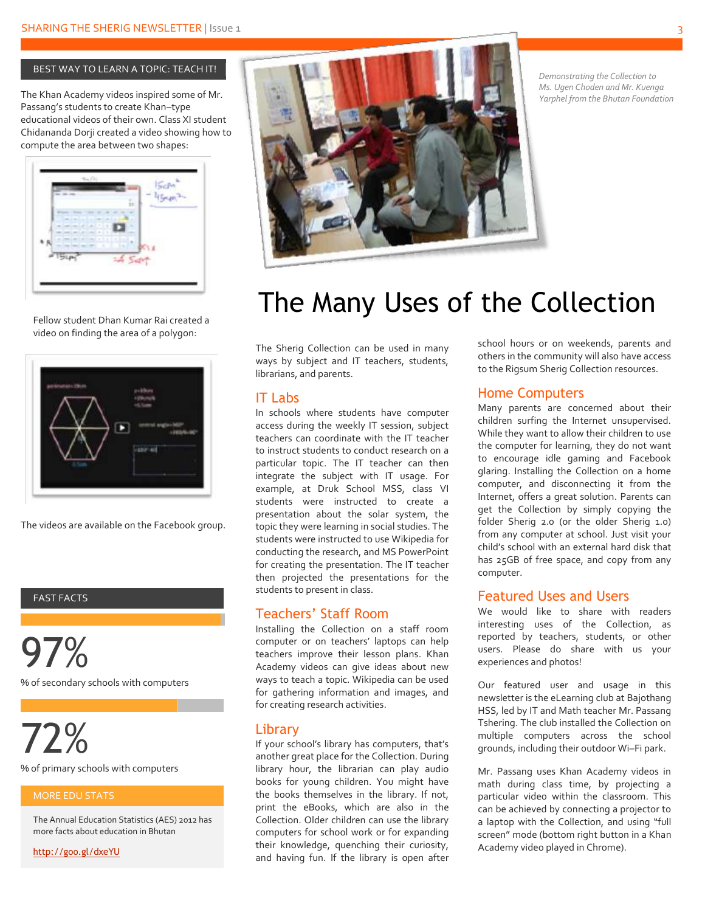#### BEST WAY TO LEARN A TOPIC: TEACH IT!

The Khan Academy videos inspired some of Mr. Passang's students to create Khan–type educational videos of their own. Class XI student Chidananda Dorji created a video showing how to compute the area between two shapes:



Fellow student Dhan Kumar Rai created a video on finding the area of a polygon:



The videos are available on the Facebook group.

#### FAST FACTS

97% % of secondary schools with computers

72%

% of primary schools with computers

The Annual Education Statistics (AES) 2012 has more facts about education in Bhutan

<http://goo.gl/dxeYU>



*Demonstrating the Collection to Ms. Ugen Choden and Mr. Kuenga Yarphel from the Bhutan Foundation*

### The Many Uses of the Collection

The Sherig Collection can be used in many ways by subject and IT teachers, students, librarians, and parents.

#### IT Labs

In schools where students have computer access during the weekly IT session, subject teachers can coordinate with the IT teacher to instruct students to conduct research on a particular topic. The IT teacher can then integrate the subject with IT usage. For example, at Druk School MSS, class VI students were instructed to create a presentation about the solar system, the topic they were learning in social studies. The students were instructed to use Wikipedia for conducting the research, and MS PowerPoint for creating the presentation. The IT teacher then projected the presentations for the students to present in class.

#### Teachers' Staff Room

Installing the Collection on a staff room computer or on teachers' laptops can help teachers improve their lesson plans. Khan Academy videos can give ideas about new ways to teach a topic. Wikipedia can be used for gathering information and images, and for creating research activities.

#### **Library**

If your school's library has computers, that's another great place for the Collection. During library hour, the librarian can play audio books for young children. You might have the books themselves in the library. If not, print the eBooks, which are also in the Collection. Older children can use the library computers for school work or for expanding their knowledge, quenching their curiosity, and having fun. If the library is open after school hours or on weekends, parents and others in the community will also have access to the Rigsum Sherig Collection resources.

#### Home Computers

Many parents are concerned about their children surfing the Internet unsupervised. While they want to allow their children to use the computer for learning, they do not want to encourage idle gaming and Facebook glaring. Installing the Collection on a home computer, and disconnecting it from the Internet, offers a great solution. Parents can get the Collection by simply copying the folder Sherig 2.0 (or the older Sherig 1.0) from any computer at school. Just visit your child's school with an external hard disk that has 25GB of free space, and copy from any computer.

#### Featured Uses and Users

We would like to share with readers interesting uses of the Collection, as reported by teachers, students, or other users. Please do share with us your experiences and photos!

Our featured user and usage in this newsletter is the eLearning club at Bajothang HSS, led by IT and Math teacher Mr. Passang Tshering. The club installed the Collection on multiple computers across the school grounds, including their outdoor Wi–Fi park.

Mr. Passang uses Khan Academy videos in math during class time, by projecting a particular video within the classroom. This can be achieved by connecting a projector to a laptop with the Collection, and using "full screen" mode (bottom right button in a Khan Academy video played in Chrome).